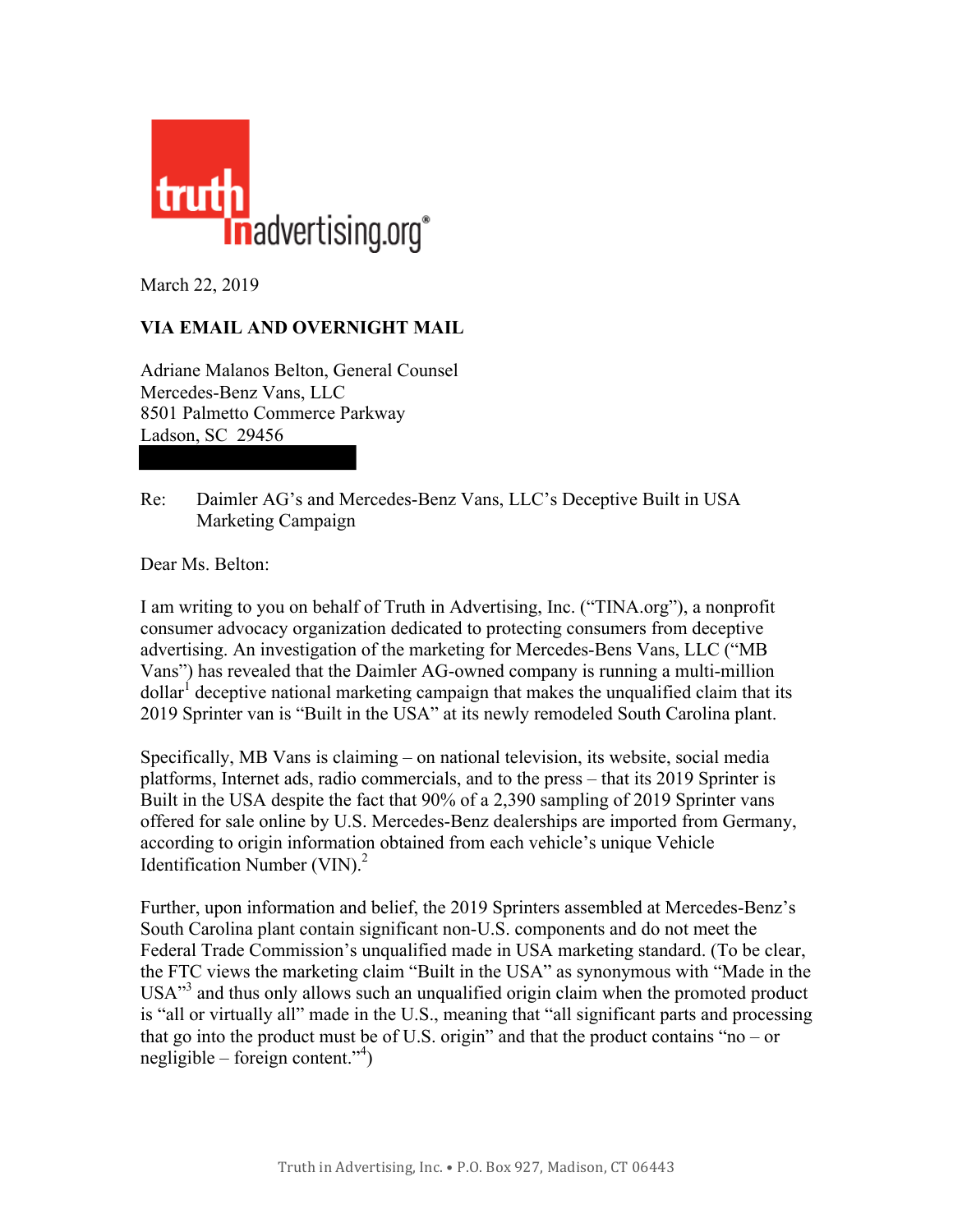

March 22, 2019

## **VIA EMAIL AND OVERNIGHT MAIL**

Adriane Malanos Belton, General Counsel Mercedes-Benz Vans, LLC 8501 Palmetto Commerce Parkway Ladson, SC 29456

Re: Daimler AG's and Mercedes-Benz Vans, LLC's Deceptive Built in USA Marketing Campaign

Dear Ms. Belton:

I am writing to you on behalf of Truth in Advertising, Inc. ("TINA.org"), a nonprofit consumer advocacy organization dedicated to protecting consumers from deceptive advertising. An investigation of the marketing for Mercedes-Bens Vans, LLC ("MB Vans") has revealed that the Daimler AG-owned company is running a multi-million  $\delta$ dollar<sup>1</sup> deceptive national marketing campaign that makes the unqualified claim that its 2019 Sprinter van is "Built in the USA" at its newly remodeled South Carolina plant.

Specifically, MB Vans is claiming – on national television, its website, social media platforms, Internet ads, radio commercials, and to the press – that its 2019 Sprinter is Built in the USA despite the fact that 90% of a 2,390 sampling of 2019 Sprinter vans offered for sale online by U.S. Mercedes-Benz dealerships are imported from Germany, according to origin information obtained from each vehicle's unique Vehicle Identification Number  $(VIN)<sup>2</sup>$ 

Further, upon information and belief, the 2019 Sprinters assembled at Mercedes-Benz's South Carolina plant contain significant non-U.S. components and do not meet the Federal Trade Commission's unqualified made in USA marketing standard. (To be clear, the FTC views the marketing claim "Built in the USA" as synonymous with "Made in the USA<sup>33</sup> and thus only allows such an unqualified origin claim when the promoted product is "all or virtually all" made in the U.S., meaning that "all significant parts and processing that go into the product must be of U.S. origin" and that the product contains "no – or negligible – foreign content."<sup>4</sup> )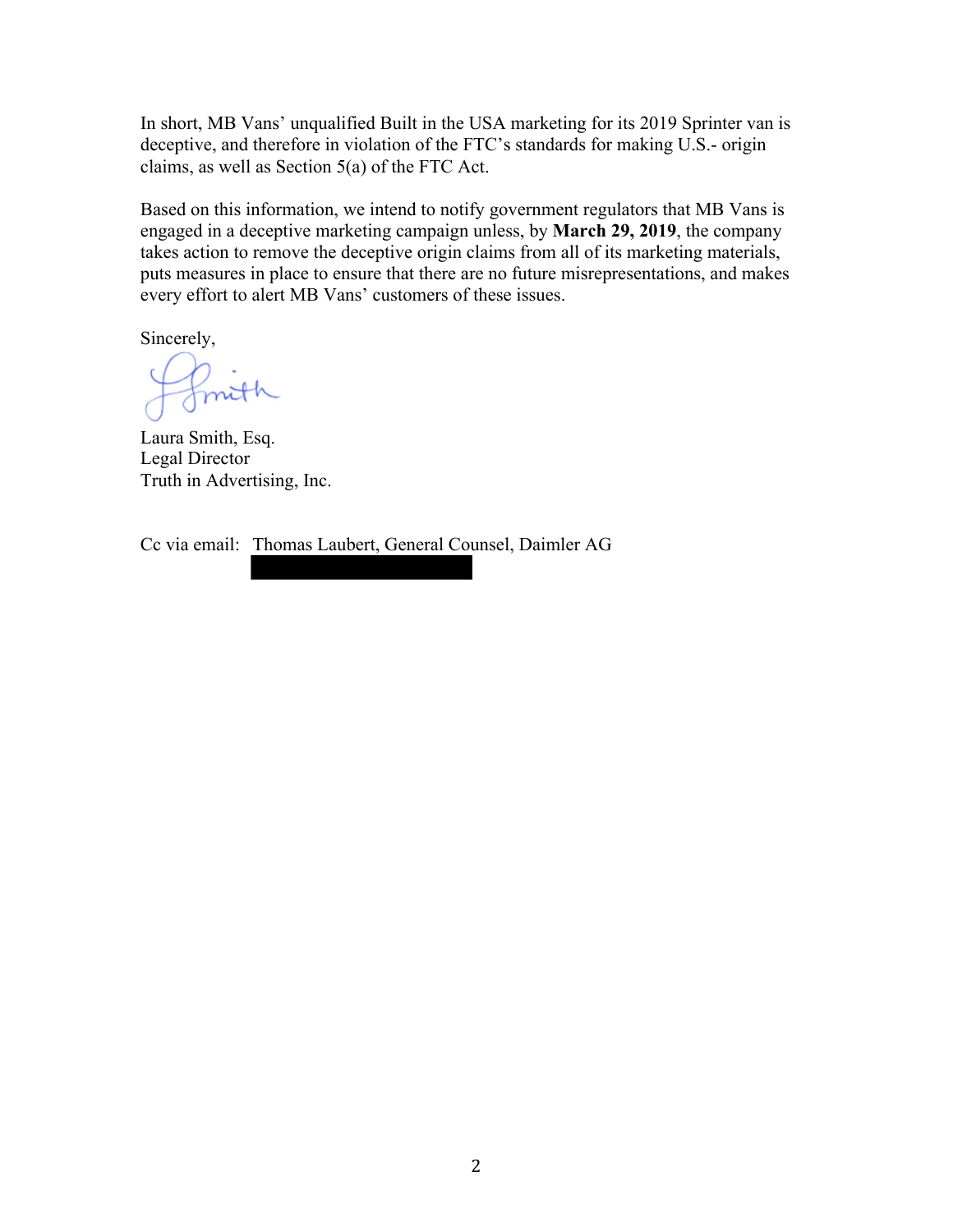In short, MB Vans' unqualified Built in the USA marketing for its 2019 Sprinter van is deceptive, and therefore in violation of the FTC's standards for making U.S.- origin claims, as well as Section 5(a) of the FTC Act.

Based on this information, we intend to notify government regulators that MB Vans is engaged in a deceptive marketing campaign unless, by **March 29, 2019**, the company takes action to remove the deceptive origin claims from all of its marketing materials, puts measures in place to ensure that there are no future misrepresentations, and makes every effort to alert MB Vans' customers of these issues.

Sincerely,

fmith

Laura Smith, Esq. Legal Director Truth in Advertising, Inc.

Cc via email: Thomas Laubert, General Counsel, Daimler AG